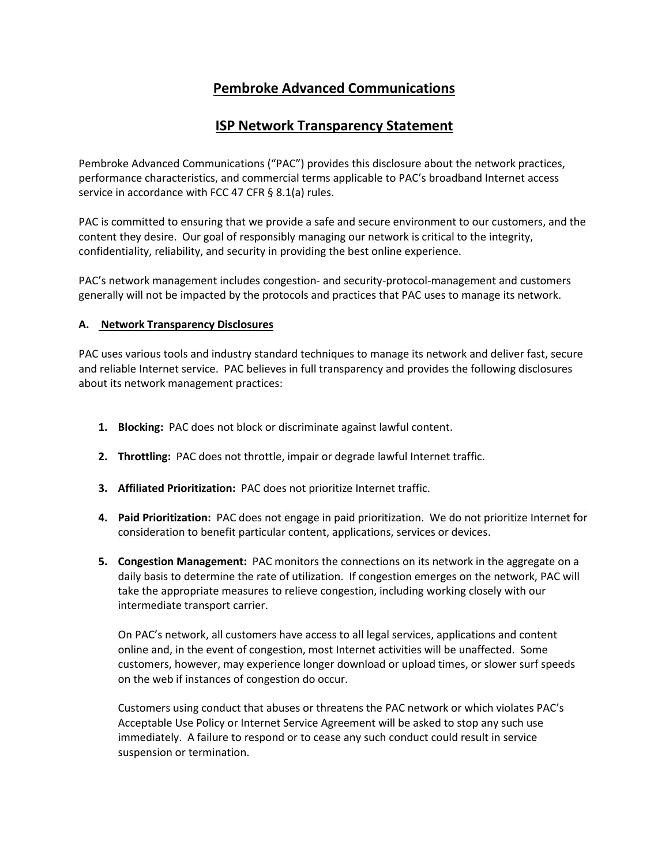# **Pembroke Advanced Communications**

## **ISP Network Transparency Statement**

Pembroke Advanced Communications ("PAC") provides this disclosure about the network practices, performance characteristics, and commercial terms applicable to PAC's broadband Internet access service in accordance with FCC 47 CFR § 8.1(a) rules.

PAC is committed to ensuring that we provide a safe and secure environment to our customers, and the content they desire. Our goal of responsibly managing our network is critical to the integrity, confidentiality, reliability, and security in providing the best online experience.

PAC's network management includes congestion- and security-protocol-management and customers generally will not be impacted by the protocols and practices that PAC uses to manage its network.

## **A. Network Transparency Disclosures**

PAC uses various tools and industry standard techniques to manage its network and deliver fast, secure and reliable Internet service. PAC believes in full transparency and provides the following disclosures about its network management practices:

- **1. Blocking:** PAC does not block or discriminate against lawful content.
- **2. Throttling:** PAC does not throttle, impair or degrade lawful Internet traffic.
- **3. Affiliated Prioritization:** PAC does not prioritize Internet traffic.
- **4. Paid Prioritization:** PAC does not engage in paid prioritization. We do not prioritize Internet for consideration to benefit particular content, applications, services or devices.
- **5. Congestion Management:** PAC monitors the connections on its network in the aggregate on a daily basis to determine the rate of utilization. If congestion emerges on the network, PAC will take the appropriate measures to relieve congestion, including working closely with our intermediate transport carrier.

On PAC's network, all customers have access to all legal services, applications and content online and, in the event of congestion, most Internet activities will be unaffected. Some customers, however, may experience longer download or upload times, or slower surf speeds on the web if instances of congestion do occur.

Customers using conduct that abuses or threatens the PAC network or which violates PAC's Acceptable Use Policy or Internet Service Agreement will be asked to stop any such use immediately. A failure to respond or to cease any such conduct could result in service suspension or termination.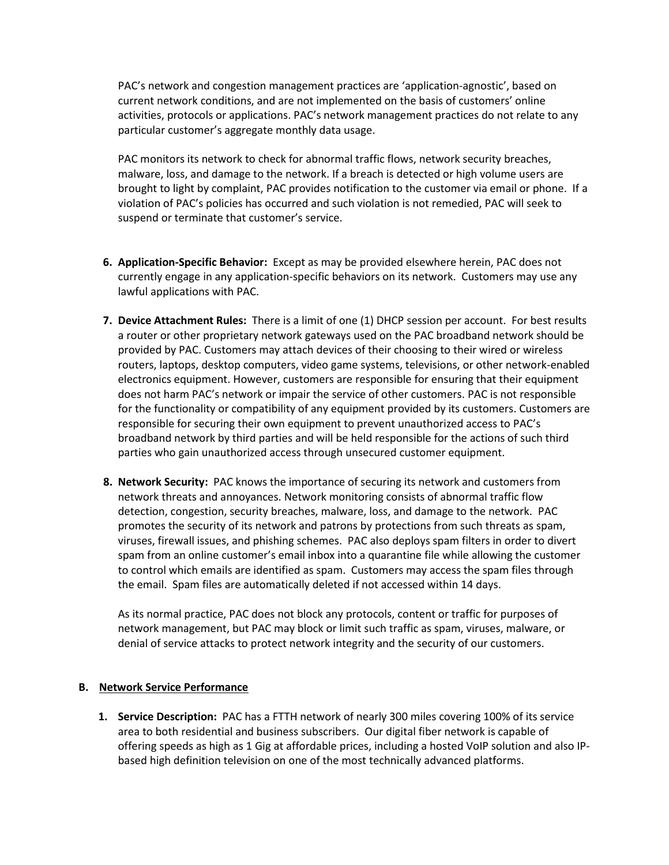PAC's network and congestion management practices are 'application-agnostic', based on current network conditions, and are not implemented on the basis of customers' online activities, protocols or applications. PAC's network management practices do not relate to any particular customer's aggregate monthly data usage.

PAC monitors its network to check for abnormal traffic flows, network security breaches, malware, loss, and damage to the network. If a breach is detected or high volume users are brought to light by complaint, PAC provides notification to the customer via email or phone. If a violation of PAC's policies has occurred and such violation is not remedied, PAC will seek to suspend or terminate that customer's service.

- **6. Application-Specific Behavior:** Except as may be provided elsewhere herein, PAC does not currently engage in any application-specific behaviors on its network. Customers may use any lawful applications with PAC.
- **7. Device Attachment Rules:** There is a limit of one (1) DHCP session per account. For best results a router or other proprietary network gateways used on the PAC broadband network should be provided by PAC. Customers may attach devices of their choosing to their wired or wireless routers, laptops, desktop computers, video game systems, televisions, or other network-enabled electronics equipment. However, customers are responsible for ensuring that their equipment does not harm PAC's network or impair the service of other customers. PAC is not responsible for the functionality or compatibility of any equipment provided by its customers. Customers are responsible for securing their own equipment to prevent unauthorized access to PAC's broadband network by third parties and will be held responsible for the actions of such third parties who gain unauthorized access through unsecured customer equipment.
- **8. Network Security:** PAC knows the importance of securing its network and customers from network threats and annoyances. Network monitoring consists of abnormal traffic flow detection, congestion, security breaches, malware, loss, and damage to the network. PAC promotes the security of its network and patrons by protections from such threats as spam, viruses, firewall issues, and phishing schemes. PAC also deploys spam filters in order to divert spam from an online customer's email inbox into a quarantine file while allowing the customer to control which emails are identified as spam. Customers may access the spam files through the email. Spam files are automatically deleted if not accessed within 14 days.

As its normal practice, PAC does not block any protocols, content or traffic for purposes of network management, but PAC may block or limit such traffic as spam, viruses, malware, or denial of service attacks to protect network integrity and the security of our customers.

#### **B. Network Service Performance**

**1. Service Description:** PAC has a FTTH network of nearly 300 miles covering 100% of its service area to both residential and business subscribers. Our digital fiber network is capable of offering speeds as high as 1 Gig at affordable prices, including a hosted VoIP solution and also IPbased high definition television on one of the most technically advanced platforms.